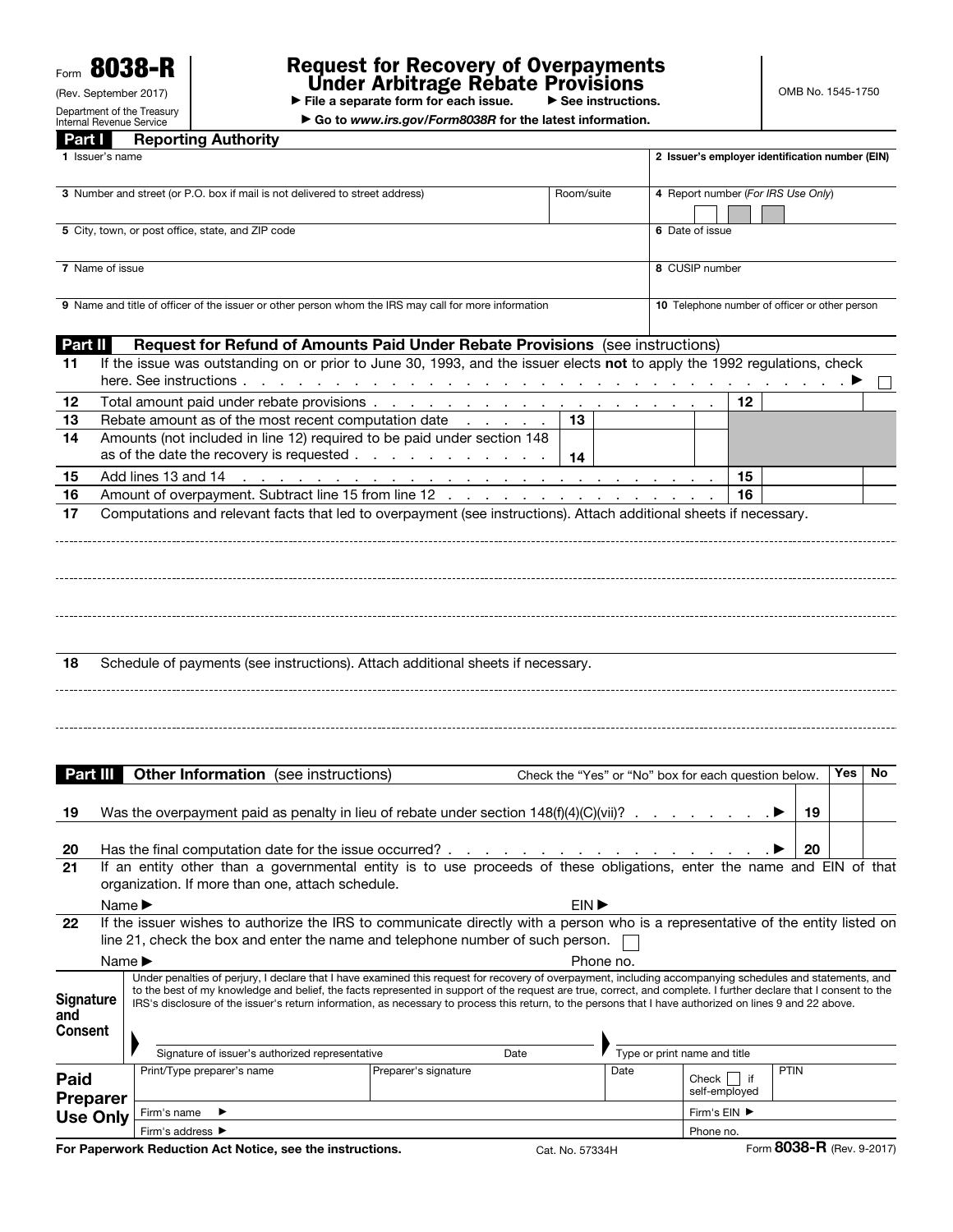Form 8038-R

(Rev. September 2017) Department of the Treasury Internal Revenue Service

# Request for Recovery of Overpayments<br>
Under Arbitrage Rebate Provisions<br>
▶ File a separate form for each issue. ▶ See instructions.

OMB No. 1545-1750

▶ Go to *www.irs.gov/Form8038R* for the latest information.

| Part I                                                                                                                  | <b>Reporting Authority</b>                                                                                                                                                                                                                                                                                                                                                                                                                                                                |                     |      |                                                                  |                           |     |     |         |
|-------------------------------------------------------------------------------------------------------------------------|-------------------------------------------------------------------------------------------------------------------------------------------------------------------------------------------------------------------------------------------------------------------------------------------------------------------------------------------------------------------------------------------------------------------------------------------------------------------------------------------|---------------------|------|------------------------------------------------------------------|---------------------------|-----|-----|---------|
| 1 Issuer's name                                                                                                         |                                                                                                                                                                                                                                                                                                                                                                                                                                                                                           |                     |      | 2 Issuer's employer identification number (EIN)                  |                           |     |     |         |
| 3 Number and street (or P.O. box if mail is not delivered to street address)                                            |                                                                                                                                                                                                                                                                                                                                                                                                                                                                                           | Room/suite          |      | 4 Report number (For IRS Use Only)                               |                           |     |     |         |
| 5 City, town, or post office, state, and ZIP code                                                                       |                                                                                                                                                                                                                                                                                                                                                                                                                                                                                           |                     |      | 6 Date of issue                                                  |                           |     |     |         |
| 7 Name of issue<br>9 Name and title of officer of the issuer or other person whom the IRS may call for more information |                                                                                                                                                                                                                                                                                                                                                                                                                                                                                           |                     |      | 8 CUSIP number<br>10 Telephone number of officer or other person |                           |     |     |         |
|                                                                                                                         |                                                                                                                                                                                                                                                                                                                                                                                                                                                                                           |                     |      |                                                                  |                           |     |     | Part II |
| 11                                                                                                                      | If the issue was outstanding on or prior to June 30, 1993, and the issuer elects not to apply the 1992 regulations, check                                                                                                                                                                                                                                                                                                                                                                 |                     |      |                                                                  |                           |     |     |         |
|                                                                                                                         |                                                                                                                                                                                                                                                                                                                                                                                                                                                                                           |                     |      |                                                                  |                           |     |     |         |
| 12                                                                                                                      |                                                                                                                                                                                                                                                                                                                                                                                                                                                                                           |                     |      | 12                                                               |                           |     |     |         |
| 13                                                                                                                      | Rebate amount as of the most recent computation date                                                                                                                                                                                                                                                                                                                                                                                                                                      | 13                  |      |                                                                  |                           |     |     |         |
| 14                                                                                                                      | Amounts (not included in line 12) required to be paid under section 148                                                                                                                                                                                                                                                                                                                                                                                                                   |                     |      |                                                                  |                           |     |     |         |
|                                                                                                                         | as of the date the recovery is requested                                                                                                                                                                                                                                                                                                                                                                                                                                                  | 14                  |      |                                                                  |                           |     |     |         |
| 15                                                                                                                      |                                                                                                                                                                                                                                                                                                                                                                                                                                                                                           |                     |      | 15                                                               |                           |     |     |         |
| 16                                                                                                                      | Amount of overpayment. Subtract line 15 from line 12                                                                                                                                                                                                                                                                                                                                                                                                                                      |                     |      | 16                                                               |                           |     |     |         |
| 18                                                                                                                      | Schedule of payments (see instructions). Attach additional sheets if necessary.                                                                                                                                                                                                                                                                                                                                                                                                           |                     |      |                                                                  |                           |     |     |         |
| Part III                                                                                                                | <b>Other Information</b> (see instructions)                                                                                                                                                                                                                                                                                                                                                                                                                                               |                     |      | Check the "Yes" or "No" box for each question below.             |                           | Yes | No. |         |
| 19                                                                                                                      |                                                                                                                                                                                                                                                                                                                                                                                                                                                                                           |                     |      |                                                                  |                           | 19  |     |         |
| 20                                                                                                                      |                                                                                                                                                                                                                                                                                                                                                                                                                                                                                           |                     |      |                                                                  |                           | 20  |     |         |
| 21                                                                                                                      | If an entity other than a governmental entity is to use proceeds of these obligations, enter the name and EIN of that<br>organization. If more than one, attach schedule.<br>Name $\blacktriangleright$                                                                                                                                                                                                                                                                                   | EIN <sup>&gt;</sup> |      |                                                                  |                           |     |     |         |
| 22                                                                                                                      | If the issuer wishes to authorize the IRS to communicate directly with a person who is a representative of the entity listed on<br>line 21, check the box and enter the name and telephone number of such person.                                                                                                                                                                                                                                                                         |                     |      |                                                                  |                           |     |     |         |
|                                                                                                                         | Name $\blacktriangleright$                                                                                                                                                                                                                                                                                                                                                                                                                                                                | Phone no.           |      |                                                                  |                           |     |     |         |
| <b>Signature</b><br>and<br><b>Consent</b>                                                                               | Under penalties of perjury, I declare that I have examined this request for recovery of overpayment, including accompanying schedules and statements, and<br>to the best of my knowledge and belief, the facts represented in support of the request are true, correct, and complete. I further declare that I consent to the<br>IRS's disclosure of the issuer's return information, as necessary to process this return, to the persons that I have authorized on lines 9 and 22 above. |                     |      |                                                                  |                           |     |     |         |
|                                                                                                                         | Signature of issuer's authorized representative<br>Date                                                                                                                                                                                                                                                                                                                                                                                                                                   |                     |      | Type or print name and title                                     |                           |     |     |         |
| Paid<br><b>Preparer</b>                                                                                                 | Print/Type preparer's name<br>Preparer's signature                                                                                                                                                                                                                                                                                                                                                                                                                                        |                     | Date | Check $\vert \vert$ if<br>self-employed                          | <b>PTIN</b>               |     |     |         |
| <b>Use Only</b>                                                                                                         | Firm's name<br>▶                                                                                                                                                                                                                                                                                                                                                                                                                                                                          |                     |      | Firm's EIN ▶                                                     |                           |     |     |         |
|                                                                                                                         | Firm's address ▶                                                                                                                                                                                                                                                                                                                                                                                                                                                                          |                     |      | Phone no.                                                        |                           |     |     |         |
|                                                                                                                         | For Paperwork Reduction Act Notice, see the instructions.                                                                                                                                                                                                                                                                                                                                                                                                                                 | Cat. No. 57334H     |      |                                                                  | Form 8038-R (Rev. 9-2017) |     |     |         |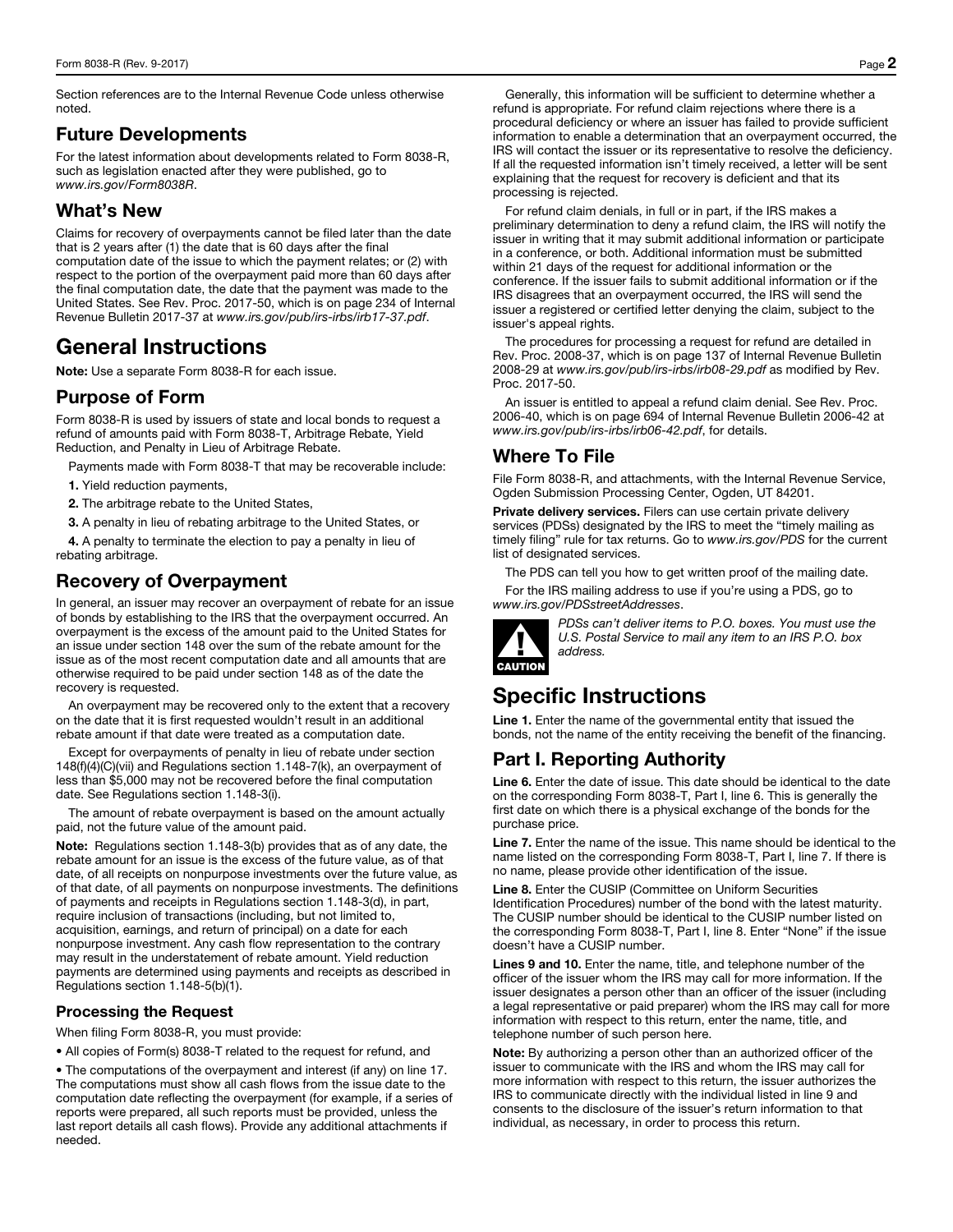Section references are to the Internal Revenue Code unless otherwise noted.

#### Future Developments

For the latest information about developments related to Form 8038-R, such as legislation enacted after they were published, go to *www.irs.gov/Form8038R*.

#### What's New

Claims for recovery of overpayments cannot be filed later than the date that is 2 years after (1) the date that is 60 days after the final computation date of the issue to which the payment relates; or (2) with respect to the portion of the overpayment paid more than 60 days after the final computation date, the date that the payment was made to the United States. See Rev. Proc. 2017-50, which is on page 234 of Internal Revenue Bulletin 2017-37 at *www.irs.gov/pub/irs-irbs/irb17-37.pdf*.

## General Instructions

Note: Use a separate Form 8038-R for each issue.

#### Purpose of Form

Form 8038-R is used by issuers of state and local bonds to request a refund of amounts paid with Form 8038-T, Arbitrage Rebate, Yield Reduction, and Penalty in Lieu of Arbitrage Rebate.

Payments made with Form 8038-T that may be recoverable include:

1. Yield reduction payments,

2. The arbitrage rebate to the United States,

3. A penalty in lieu of rebating arbitrage to the United States, or

4. A penalty to terminate the election to pay a penalty in lieu of rebating arbitrage.

#### Recovery of Overpayment

In general, an issuer may recover an overpayment of rebate for an issue of bonds by establishing to the IRS that the overpayment occurred. An overpayment is the excess of the amount paid to the United States for an issue under section 148 over the sum of the rebate amount for the issue as of the most recent computation date and all amounts that are otherwise required to be paid under section 148 as of the date the recovery is requested.

An overpayment may be recovered only to the extent that a recovery on the date that it is first requested wouldn't result in an additional rebate amount if that date were treated as a computation date.

Except for overpayments of penalty in lieu of rebate under section 148(f)(4)(C)(vii) and Regulations section 1.148-7(k), an overpayment of less than \$5,000 may not be recovered before the final computation date. See Regulations section 1.148-3(i).

The amount of rebate overpayment is based on the amount actually paid, not the future value of the amount paid.

Note: Regulations section 1.148-3(b) provides that as of any date, the rebate amount for an issue is the excess of the future value, as of that date, of all receipts on nonpurpose investments over the future value, as of that date, of all payments on nonpurpose investments. The definitions of payments and receipts in Regulations section 1.148-3(d), in part, require inclusion of transactions (including, but not limited to, acquisition, earnings, and return of principal) on a date for each nonpurpose investment. Any cash flow representation to the contrary may result in the understatement of rebate amount. Yield reduction payments are determined using payments and receipts as described in Regulations section 1.148-5(b)(1).

#### Processing the Request

When filing Form 8038-R, you must provide:

• All copies of Form(s) 8038-T related to the request for refund, and

• The computations of the overpayment and interest (if any) on line 17. The computations must show all cash flows from the issue date to the computation date reflecting the overpayment (for example, if a series of reports were prepared, all such reports must be provided, unless the last report details all cash flows). Provide any additional attachments if needed.

Generally, this information will be sufficient to determine whether a refund is appropriate. For refund claim rejections where there is a procedural deficiency or where an issuer has failed to provide sufficient information to enable a determination that an overpayment occurred, the IRS will contact the issuer or its representative to resolve the deficiency. If all the requested information isn't timely received, a letter will be sent explaining that the request for recovery is deficient and that its processing is rejected.

For refund claim denials, in full or in part, if the IRS makes a preliminary determination to deny a refund claim, the IRS will notify the issuer in writing that it may submit additional information or participate in a conference, or both. Additional information must be submitted within 21 days of the request for additional information or the conference. If the issuer fails to submit additional information or if the IRS disagrees that an overpayment occurred, the IRS will send the issuer a registered or certified letter denying the claim, subject to the issuer's appeal rights.

The procedures for processing a request for refund are detailed in Rev. Proc. 2008-37, which is on page 137 of Internal Revenue Bulletin 2008-29 at *www.irs.gov/pub/irs-irbs/irb08-29.pdf* as modified by Rev. Proc. 2017-50.

An issuer is entitled to appeal a refund claim denial. See Rev. Proc. 2006-40, which is on page 694 of Internal Revenue Bulletin 2006-42 at *www.irs.gov/pub/irs-irbs/irb06-42.pdf*, for details.

#### Where To File

File Form 8038-R, and attachments, with the Internal Revenue Service, Ogden Submission Processing Center, Ogden, UT 84201.

Private delivery services. Filers can use certain private delivery services (PDSs) designated by the IRS to meet the "timely mailing as timely filing" rule for tax returns. Go to *www.irs.gov/PDS* for the current list of designated services.

The PDS can tell you how to get written proof of the mailing date.

For the IRS mailing address to use if you're using a PDS, go to *www.irs.gov/PDSstreetAddresses*.



*PDSs can't deliver items to P.O. boxes. You must use the U.S. Postal Service to mail any item to an IRS P.O. box address.* 

## Specific Instructions

Line 1. Enter the name of the governmental entity that issued the bonds, not the name of the entity receiving the benefit of the financing.

### Part I. Reporting Authority

Line 6. Enter the date of issue. This date should be identical to the date on the corresponding Form 8038-T, Part I, line 6. This is generally the first date on which there is a physical exchange of the bonds for the purchase price.

Line 7. Enter the name of the issue. This name should be identical to the name listed on the corresponding Form 8038-T, Part I, line 7. If there is no name, please provide other identification of the issue.

Line 8. Enter the CUSIP (Committee on Uniform Securities Identification Procedures) number of the bond with the latest maturity. The CUSIP number should be identical to the CUSIP number listed on the corresponding Form 8038-T, Part I, line 8. Enter "None" if the issue doesn't have a CUSIP number.

Lines 9 and 10. Enter the name, title, and telephone number of the officer of the issuer whom the IRS may call for more information. If the issuer designates a person other than an officer of the issuer (including a legal representative or paid preparer) whom the IRS may call for more information with respect to this return, enter the name, title, and telephone number of such person here.

Note: By authorizing a person other than an authorized officer of the issuer to communicate with the IRS and whom the IRS may call for more information with respect to this return, the issuer authorizes the IRS to communicate directly with the individual listed in line 9 and consents to the disclosure of the issuer's return information to that individual, as necessary, in order to process this return.